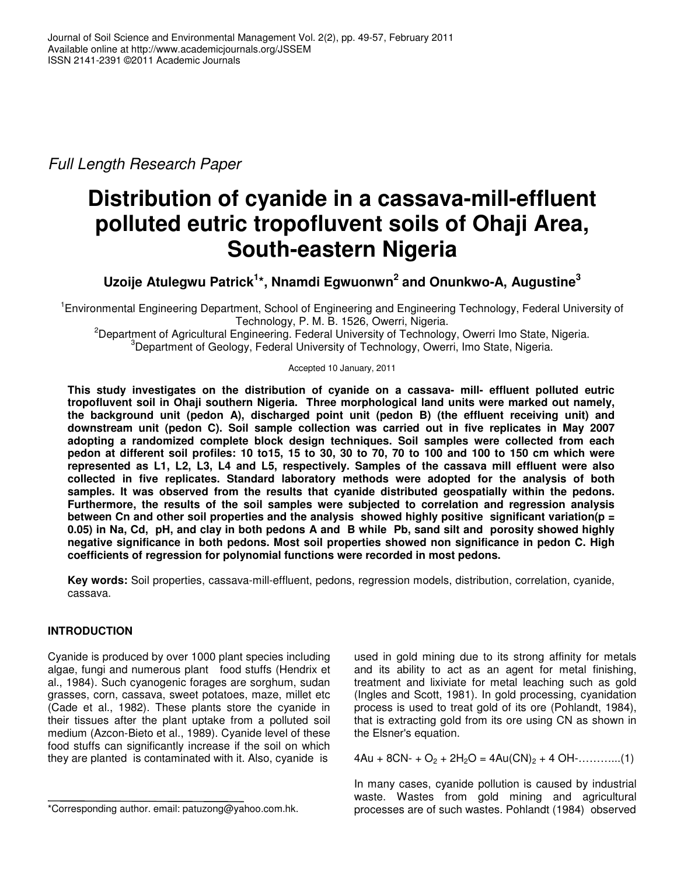*Full Length Research Paper*

# **Distribution of cyanide in a cassava-mill-effluent polluted eutric tropofluvent soils of Ohaji Area, South-eastern Nigeria**

**Uzoije Atulegwu Patrick 1 \*, Nnamdi Egwuonwn 2 and Onunkwo-A, Augustine 3**

<sup>1</sup> Environmental Engineering Department, School of Engineering and Engineering Technology, Federal University of Technology, P. M. B. 1526, Owerri, Nigeria.

<sup>2</sup>Department of Agricultural Engineering. Federal University of Technology, Owerri Imo State, Nigeria. <sup>3</sup>Department of Geology, Federal University of Technology, Owerri, Imo State, Nigeria.

Accepted 10 January, 2011

**This study investigates on the distribution of cyanide on a cassava- mill- effluent polluted eutric tropofluvent soil in Ohaji southern Nigeria. Three morphological land units were marked out namely, the background unit (pedon A), discharged point unit (pedon B) (the effluent receiving unit) and downstream unit (pedon C). Soil sample collection was carried out in five replicates in May 2007 adopting a randomized complete block design techniques. Soil samples were collected from each** pedon at different soil profiles: 10 to15, 15 to 30, 30 to 70, 70 to 100 and 100 to 150 cm which were **represented as L1, L2, L3, L4 and L5, respectively. Samples of the cassava mill effluent were also collected in five replicates. Standard laboratory methods were adopted for the analysis of both samples. It was observed from the results that cyanide distributed geospatially within the pedons. Furthermore, the results of the soil samples were subjected to correlation and regression analysis between Cn and other soil properties and the analysis showed highly positive significant variation(p =** 0.05) in Na, Cd, pH, and clay in both pedons A and B while Pb, sand silt and porosity showed highly **negative significance in both pedons. Most soil properties showed non significance in pedon C. High coefficients of regression for polynomial functions were recorded in most pedons.**

**Key words:** Soil properties, cassava-mill-effluent, pedons, regression models, distribution, correlation, cyanide, cassava.

# **INTRODUCTION**

Cyanide is produced by over 1000 plant species including algae, fungi and numerous plant food stuffs (Hendrix et al., 1984). Such cyanogenic forages are sorghum, sudan grasses, corn, cassava, sweet potatoes, maze, millet etc (Cade et al., 1982). These plants store the cyanide in their tissues after the plant uptake from a polluted soil medium (Azcon-Bieto et al., 1989). Cyanide level of these food stuffs can significantly increase if the soil on which they are planted is contaminated with it. Also, cyanide is

used in gold mining due to its strong affinity for metals and its ability to act as an agent for metal finishing, treatment and lixiviate for metal leaching such as gold (Ingles and Scott, 1981). In gold processing, cyanidation process is used to treat gold of its ore (Pohlandt, 1984), that is extracting gold from its ore using CN as shown in the Elsner's equation.

 $4Au + 8CN - 62 + 2H<sub>2</sub>O = 4Au(CN)<sub>2</sub> + 4OH - \dots$  (1)

In many cases, cyanide pollution is caused by industrial waste. Wastes from gold mining and agricultural processes are of such wastes. Pohlandt (1984) observed

<sup>\*</sup>Corresponding author. email: patuzong@yahoo.com.hk.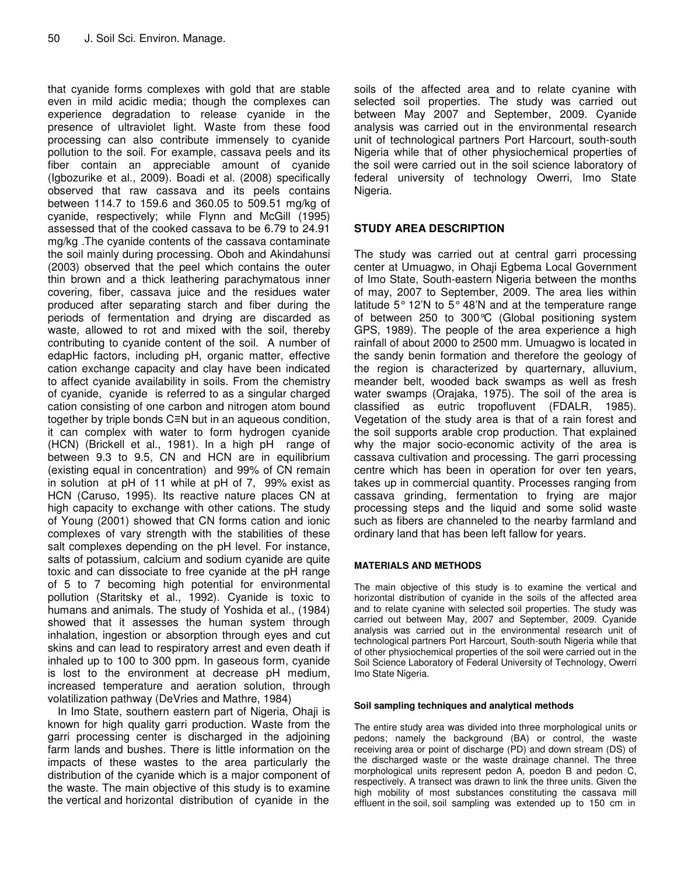that cyanide forms complexes with gold that are stable even in mild acidic media; though the complexes can experience degradation to release cyanide in the presence of ultraviolet light. Waste from these food processing can also contribute immensely to cyanide pollution to the soil. For example, cassava peels and its fiber contain an appreciable amount of cyanide (Igbozurike et al., 2009). Boadi et al. (2008) specifically observed that raw cassava and its peels contains between 114.7 to 159.6 and 360.05 to 509.51 mg/kg of cyanide, respectively; while Flynn and McGill (1995) assessed that of the cooked cassava to be 6.79 to 24.91 mg/kg .The cyanide contents of the cassava contaminate the soil mainly during processing. Oboh and Akindahunsi (2003) observed that the peel which contains the outer thin brown and a thick leathering parachymatous inner covering, fiber, cassava juice and the residues water produced after separating starch and fiber during the periods of fermentation and drying are discarded as waste, allowed to rot and mixed with the soil, thereby contributing to cyanide content of the soil. A number of edapHic factors, including pH, organic matter, effective cation exchange capacity and clay have been indicated to affect cyanide availability in soils. From the chemistry of cyanide, cyanide is referred to as a singular charged cation consisting of one carbon and nitrogen atom bound together by triple bonds  $C \equiv N$  but in an aqueous condition, it can complex with water to form hydrogen cyanide (HCN) (Brickell et al., 1981). In a high pH range of between 9.3 to 9.5, CN and HCN are in equilibrium (existing equal in concentration) and 99% of CN remain in solution at pH of 11 while at pH of 7, 99% exist as HCN (Caruso, 1995). Its reactive nature places CN at high capacity to exchange with other cations. The study of Young (2001) showed that CN forms cation and ionic complexes of vary strength with the stabilities of these salt complexes depending on the pH level. For instance, salts of potassium, calcium and sodium cyanide are quite toxic and can dissociate to free cyanide at the pH range of 5 to 7 becoming high potential for environmental pollution (Staritsky et al., 1992). Cyanide is toxic to humans and animals. The study of Yoshida et al., (1984) showed that it assesses the human system through inhalation, ingestion or absorption through eyes and cut skins and can lead to respiratory arrest and even death if inhaled up to 100 to 300 ppm. In gaseous form, cyanide is lost to the environment at decrease pH medium, increased temperature and aeration solution, through volatilization pathway (DeVries and Mathre, 1984)

In Imo State, southern eastern part of Nigeria, Ohaji is known for high quality garri production. Waste from the garri processing center is discharged in the adjoining farm lands and bushes. There is little information on the impacts of these wastes to the area particularly the distribution of the cyanide which is a major component of the waste. The main objective of this study is to examine the vertical and horizontal distribution of cyanide in the

soils of the affected area and to relate cyanine with selected soil properties. The study was carried out between May 2007 and September, 2009. Cyanide analysis was carried out in the environmental research unit of technological partners Port Harcourt, south-south Nigeria while that of other physiochemical properties of the soil were carried out in the soil science laboratory of federal university of technology Owerri, Imo State Nigeria.

# **STUDY AREA DESCRIPTION**

The study was carried out at central garri processing center at Umuagwo, in Ohaji Egbema Local Government of Imo State, South-eastern Nigeria between the months of may, 2007 to September, 2009. The area lies within latitude 5° 12'N to 5° 48'N and at the temperature range of between 250 to 300°C (Global positioning system GPS, 1989). The people of the area experience a high rainfall of about 2000 to 2500 mm. Umuagwo is located in the sandy benin formation and therefore the geology of the region is characterized by quarternary, alluvium, meander belt, wooded back swamps as well as fresh water swamps (Orajaka, 1975). The soil of the area is classified as eutric tropofluvent (FDALR, 1985). Vegetation of the study area is that of a rain forest and the soil supports arable crop production. That explained why the major socio-economic activity of the area is cassava cultivation and processing. The garri processing centre which has been in operation for over ten years, takes up in commercial quantity. Processes ranging from cassava grinding, fermentation to frying are major processing steps and the liquid and some solid waste such as fibers are channeled to the nearby farmland and ordinary land that has been left fallow for years.

## **MATERIALS AND METHODS**

The main objective of this study is to examine the vertical and horizontal distribution of cyanide in the soils of the affected area and to relate cyanine with selected soil properties. The study was carried out between May, 2007 and September, 2009. Cyanide analysis was carried out in the environmental research unit of technological partners Port Harcourt, South-south Nigeria while that of other physiochemical properties of the soil were carried out in the Soil Science Laboratory of Federal University of Technology, Owerri Imo State Nigeria.

## **Soil sampling techniques and analytical methods**

The entire study area was divided into three morphological units or pedons; namely the background (BA) or control, the waste receiving area or point of discharge (PD) and down stream (DS) of the discharged waste or the waste drainage channel. The three morphological units represent pedon A, poedon B and pedon C, respectively. A transect was drawn to link the three units. Given the high mobility of most substances constituting the cassava mill effluent in the soil, soil sampling was extended up to 150 cm in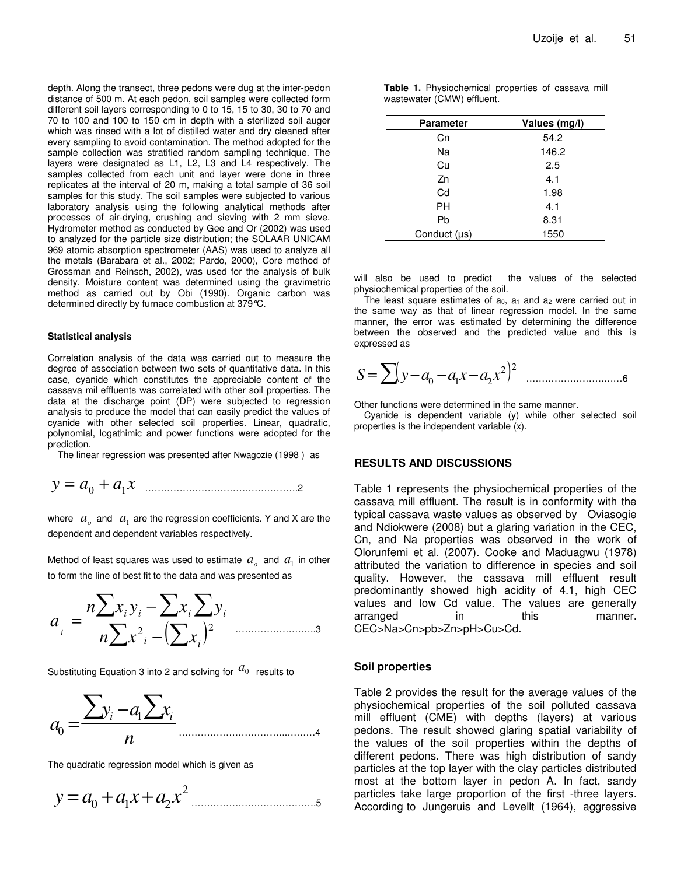depth. Along the transect, three pedons were dug at the inter-pedon distance of 500 m. At each pedon, soil samples were collected form different soil layers corresponding to 0 to 15, 15 to 30, 30 to 70 and 70 to 100 and 100 to 150 cm in depth with a sterilized soil auger which was rinsed with a lot of distilled water and dry cleaned after every sampling to avoid contamination. The method adopted for the sample collection was stratified random sampling technique. The layers were designated as L1, L2, L3 and L4 respectively. The samples collected from each unit and layer were done in three replicates at the interval of 20 m, making a total sample of 36 soil samples for this study. The soil samples were subjected to various laboratory analysis using the following analytical methods after processes of air-drying, crushing and sieving with 2 mm sieve. Hydrometer method as conducted by Gee and Or (2002) was used to analyzed for the particle size distribution; the SOLAAR UNICAM 969 atomic absorption spectrometer (AAS) was used to analyze all the metals (Barabara et al., 2002; Pardo, 2000), Core method of Grossman and Reinsch, 2002), was used for the analysis of bulk density. Moisture content was determined using the gravimetric method as carried out by Obi (1990). Organic carbon was determined directly by furnace combustion at 379°C.

#### **Statistical analysis**

Correlation analysis of the data was carried out to measure the degree of association between two sets of quantitative data. In this case, cyanide which constitutes the appreciable content of the cassava mil effluents was correlated with other soil properties. The data at the discharge point (DP) were subjected to regression analysis to produce the model that can easily predict the values of cyanide with other selected soil properties. Linear, quadratic, polynomial, logathimic and power functions were adopted for the prediction.

The linear regression was presented after Nwagozie (1998 ) as

$$
y = a_0 + a_1 x
$$

where  $\ a_o$  and  $\ a_1$  are the regression coefficients. Y and X are the dependent and dependent variables respectively.

Method of least squares was used to estimate  $a_a$  and  $a_1$  in other to form the line of best fit to the data and was presented as

$$
a_{i} = \frac{n\sum x_{i}y_{i} - \sum x_{i}\sum y_{i}}{n\sum x^{2} - (\sum x_{i})^{2}}
$$

Substituting Equation 3 into 2 and solving for  $a_0$  results to

$$
a_0 = \frac{\sum y_i - a_1 \sum x_i}{n}
$$

The quadratic regression model which is given as

$$
y = a_0 + a_1 x + a_2 x^2
$$

| <b>Table 1.</b> Physiochemical properties of cassava mill |  |  |
|-----------------------------------------------------------|--|--|
| wastewater (CMW) effluent.                                |  |  |

| <b>Parameter</b>  | Values (mg/l) |
|-------------------|---------------|
| Сn                | 54.2          |
| Na                | 146.2         |
| Cu                | 2.5           |
| Zn                | 4.1           |
| Cd                | 1.98          |
| <b>PH</b>         | 4.1           |
| Pb                | 8.31          |
| Conduct $(\mu s)$ | 1550          |

will also be used to predict the values of the selected physiochemical properties of the soil.

The least square estimates of  $a_0$ ,  $a_1$  and  $a_2$  were carried out in the same way as that of linear regression model. In the same manner, the error was estimated by determining the difference between the observed and the predicted value and this is expressed as

<sup>=</sup>( <sup>−</sup> <sup>−</sup> <sup>−</sup> ) 2 2 0 1 2 *S y a a x a x* …………………….……6

Other functions were determined in the same manner.

Cyanide is dependent variable (y) while other selected soil properties is the independent variable (x).

## **RESULTS AND DISCUSSIONS**

Table 1 represents the physiochemical properties of the cassava mill effluent. The result is in conformity with the typical cassava waste values as observed by Oviasogie and Ndiokwere (2008) but a glaring variation in the CEC, Cn, and Na properties was observed in the work of Olorunfemi et al. (2007). Cooke and Maduagwu (1978) attributed the variation to difference in species and soil quality. However, the cassava mill effluent result predominantly showed high acidity of 4.1, high CEC values and low Cd value. The values are generally arranged in this manner. CEC>Na>Cn>pb>Zn>pH>Cu>Cd.

#### **Soil properties**

Table 2 provides the result for the average values of the physiochemical properties of the soil polluted cassava mill effluent (CME) with depths (layers) at various pedons. The result showed glaring spatial variability of the values of the soil properties within the depths of different pedons. There was high distribution of sandy particles at the top layer with the clay particles distributed most at the bottom layer in pedon A. In fact, sandy particles take large proportion of the first -three layers. According to Jungeruis and Levellt (1964), aggressive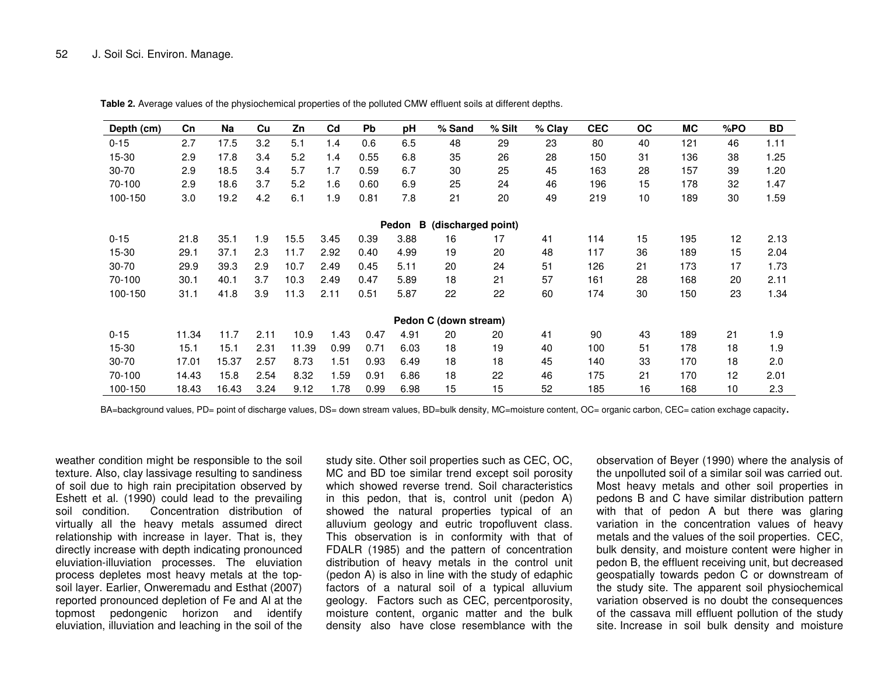| Depth (cm)                       | Cn    | Na    | Cu   | Zn    | C <sub>d</sub> | <b>Pb</b> | рH   | % Sand                | % Silt | $%$ Clay | <b>CEC</b> | ОC | <b>MC</b> | %PO | BD   |
|----------------------------------|-------|-------|------|-------|----------------|-----------|------|-----------------------|--------|----------|------------|----|-----------|-----|------|
| $0 - 15$                         | 2.7   | 17.5  | 3.2  | 5.1   | 1.4            | 0.6       | 6.5  | 48                    | 29     | 23       | 80         | 40 | 121       | 46  | 1.11 |
| 15-30                            | 2.9   | 17.8  | 3.4  | 5.2   | 1.4            | 0.55      | 6.8  | 35                    | 26     | 28       | 150        | 31 | 136       | 38  | 1.25 |
| 30-70                            | 2.9   | 18.5  | 3.4  | 5.7   | 1.7            | 0.59      | 6.7  | 30                    | 25     | 45       | 163        | 28 | 157       | 39  | 1.20 |
| 70-100                           | 2.9   | 18.6  | 3.7  | 5.2   | 1.6            | 0.60      | 6.9  | 25                    | 24     | 46       | 196        | 15 | 178       | 32  | 1.47 |
| 100-150                          | 3.0   | 19.2  | 4.2  | 6.1   | 1.9            | 0.81      | 7.8  | 21                    | 20     | 49       | 219        | 10 | 189       | 30  | 1.59 |
| в<br>(discharged point)<br>Pedon |       |       |      |       |                |           |      |                       |        |          |            |    |           |     |      |
| $0 - 15$                         | 21.8  | 35.1  | 1.9  | 15.5  | 3.45           | 0.39      | 3.88 | 16                    | 17     | 41       | 114        | 15 | 195       | 12  | 2.13 |
| 15-30                            | 29.1  | 37.1  | 2.3  | 11.7  | 2.92           | 0.40      | 4.99 | 19                    | 20     | 48       | 117        | 36 | 189       | 15  | 2.04 |
| 30-70                            | 29.9  | 39.3  | 2.9  | 10.7  | 2.49           | 0.45      | 5.11 | 20                    | 24     | 51       | 126        | 21 | 173       | 17  | 1.73 |
| 70-100                           | 30.1  | 40.1  | 3.7  | 10.3  | 2.49           | 0.47      | 5.89 | 18                    | 21     | 57       | 161        | 28 | 168       | 20  | 2.11 |
| 100-150                          | 31.1  | 41.8  | 3.9  | 11.3  | 2.11           | 0.51      | 5.87 | 22                    | 22     | 60       | 174        | 30 | 150       | 23  | 1.34 |
|                                  |       |       |      |       |                |           |      | Pedon C (down stream) |        |          |            |    |           |     |      |
| $0 - 15$                         | 11.34 | 11.7  | 2.11 | 10.9  | 1.43           | 0.47      | 4.91 | 20                    | 20     | 41       | 90         | 43 | 189       | 21  | 1.9  |
| 15-30                            | 15.1  | 15.1  | 2.31 | 11.39 | 0.99           | 0.71      | 6.03 | 18                    | 19     | 40       | 100        | 51 | 178       | 18  | 1.9  |
| $30 - 70$                        | 17.01 | 15.37 | 2.57 | 8.73  | 1.51           | 0.93      | 6.49 | 18                    | 18     | 45       | 140        | 33 | 170       | 18  | 2.0  |
| 70-100                           | 14.43 | 15.8  | 2.54 | 8.32  | 1.59           | 0.91      | 6.86 | 18                    | 22     | 46       | 175        | 21 | 170       | 12  | 2.01 |
| 100-150                          | 18.43 | 16.43 | 3.24 | 9.12  | 1.78           | 0.99      | 6.98 | 15                    | 15     | 52       | 185        | 16 | 168       | 10  | 2.3  |

**Table 2.** Average values of the physiochemical properties of the polluted CMW effluent soils at different depths.

BA=background values, PD= point of discharge values, DS= down stream values, BD=bulk density, MC=moisture content, OC= organic carbon, CEC= cation exchage capacity.

weather condition might be responsible to the soil texture. Also, clay lassivage resulting to sandiness of soil due to high rain precipitation observed by Eshett et al. (1990) could lead to the prevailing soil condition. Concentration distribution of virtually all the heavy metals assumed direct relationship with increase in layer. That is, they directly increase with depth indicating pronounced eluviation-illuviation processes. The eluviation process depletes most heavy metals at the topsoil layer. Earlier, Onweremadu and Esthat (2007) reported pronounced depletion of Fe and Al at the topmost pedongenic horizon and identify eluviation, illuviation and leaching in the soil of the

study site. Other soil properties such as CEC, OC, MC and BD toe similar trend except soil porosity which showed reverse trend. Soil characteristics in this pedon, that is, control unit (pedon A) showed the natural properties typical of an alluvium geology and eutric tropofluvent class. This observation is in conformity with that of FDALR (1985) and the pattern of concentration distribution of heavy metals in the control unit (pedon A) is also in line with the study of edaphic factors of a natural soil of <sup>a</sup> typical alluvium geology. Factors such as CEC, percentporosity, moisture content, organic matter and the bulk density also have close resemblance with the

observation of Beyer (1990) where the analysis of the unpolluted soil of <sup>a</sup> similar soil was carried out. Most heavy metals and other soil properties in pedons B and C have similar distribution pattern with that of pedon A but there was glaring variation in the concentration values of heavy metals and the values of the soil properties. CEC, bulk density, and moisture content were higher in pedon B, the effluent receiving unit, but decreased geospatially towards pedon C or downstream of the study site. The apparent soil physiochemical variation observed is no doubt the consequences of the cassava mill effluent pollution of the study site. Increase in soil bulk density and moisture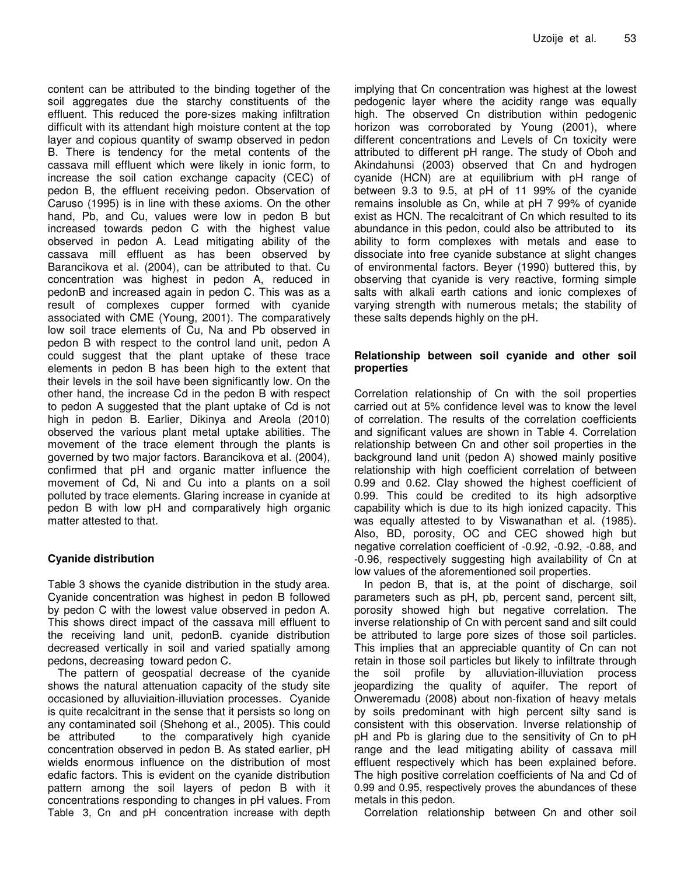content can be attributed to the binding together of the soil aggregates due the starchy constituents of the effluent. This reduced the pore-sizes making infiltration difficult with its attendant high moisture content at the top layer and copious quantity of swamp observed in pedon B. There is tendency for the metal contents of the cassava mill effluent which were likely in ionic form, to increase the soil cation exchange capacity (CEC) of pedon B, the effluent receiving pedon. Observation of Caruso (1995) is in line with these axioms. On the other hand, Pb, and Cu, values were low in pedon B but increased towards pedon C with the highest value observed in pedon A. Lead mitigating ability of the cassava mill effluent as has been observed by Barancikova et al. (2004), can be attributed to that. Cu concentration was highest in pedon A, reduced in pedonB and increased again in pedon C. This was as a result of complexes cupper formed with cyanide associated with CME (Young, 2001). The comparatively low soil trace elements of Cu, Na and Pb observed in pedon B with respect to the control land unit, pedon A could suggest that the plant uptake of these trace elements in pedon B has been high to the extent that their levels in the soil have been significantly low. On the other hand, the increase Cd in the pedon B with respect to pedon A suggested that the plant uptake of Cd is not high in pedon B. Earlier, Dikinya and Areola (2010) observed the various plant metal uptake abilities. The movement of the trace element through the plants is governed by two major factors. Barancikova et al. (2004), confirmed that pH and organic matter influence the movement of Cd, Ni and Cu into a plants on a soil polluted by trace elements. Glaring increase in cyanide at pedon B with low pH and comparatively high organic matter attested to that.

# **Cyanide distribution**

Table 3 shows the cyanide distribution in the study area. Cyanide concentration was highest in pedon B followed by pedon C with the lowest value observed in pedon A. This shows direct impact of the cassava mill effluent to the receiving land unit, pedonB. cyanide distribution decreased vertically in soil and varied spatially among pedons, decreasing toward pedon C.

The pattern of geospatial decrease of the cyanide shows the natural attenuation capacity of the study site occasioned by alluviaition-illuviation processes. Cyanide is quite recalcitrant in the sense that it persists so long on any contaminated soil (Shehong et al., 2005). This could be attributed to the comparatively high cyanide concentration observed in pedon B. As stated earlier, pH wields enormous influence on the distribution of most edafic factors. This is evident on the cyanide distribution pattern among the soil layers of pedon B with it concentrations responding to changes in pH values. From Table 3, Cn and pH concentration increase with depth

implying that Cn concentration was highest at the lowest pedogenic layer where the acidity range was equally high. The observed Cn distribution within pedogenic horizon was corroborated by Young (2001), where different concentrations and Levels of Cn toxicity were attributed to different pH range. The study of Oboh and Akindahunsi (2003) observed that Cn and hydrogen cyanide (HCN) are at equilibrium with pH range of between 9.3 to 9.5, at pH of 11 99% of the cyanide remains insoluble as Cn, while at pH 7 99% of cyanide exist as HCN. The recalcitrant of Cn which resulted to its abundance in this pedon, could also be attributed to its ability to form complexes with metals and ease to dissociate into free cyanide substance at slight changes of environmental factors. Beyer (1990) buttered this, by observing that cyanide is very reactive, forming simple salts with alkali earth cations and ionic complexes of varying strength with numerous metals; the stability of these salts depends highly on the pH.

## **Relationship between soil cyanide and other soil properties**

Correlation relationship of Cn with the soil properties carried out at 5% confidence level was to know the level of correlation. The results of the correlation coefficients and significant values are shown in Table 4. Correlation relationship between Cn and other soil properties in the background land unit (pedon A) showed mainly positive relationship with high coefficient correlation of between 0.99 and 0.62. Clay showed the highest coefficient of 0.99. This could be credited to its high adsorptive capability which is due to its high ionized capacity. This was equally attested to by Viswanathan et al. (1985). Also, BD, porosity, OC and CEC showed high but negative correlation coefficient of -0.92, -0.92, -0.88, and -0.96, respectively suggesting high availability of Cn at low values of the aforementioned soil properties.

In pedon B, that is, at the point of discharge, soil parameters such as pH, pb, percent sand, percent silt, porosity showed high but negative correlation. The inverse relationship of Cn with percent sand and silt could be attributed to large pore sizes of those soil particles. This implies that an appreciable quantity of Cn can not retain in those soil particles but likely to infiltrate through the soil profile by alluviation-illuviation process jeopardizing the quality of aquifer. The report of Onweremadu (2008) about non-fixation of heavy metals by soils predominant with high percent silty sand is consistent with this observation. Inverse relationship of pH and Pb is glaring due to the sensitivity of Cn to pH range and the lead mitigating ability of cassava mill effluent respectively which has been explained before. The high positive correlation coefficients of Na and Cd of 0.99 and 0.95, respectively proves the abundances of these metals in this pedon.

Correlation relationship between Cn and other soil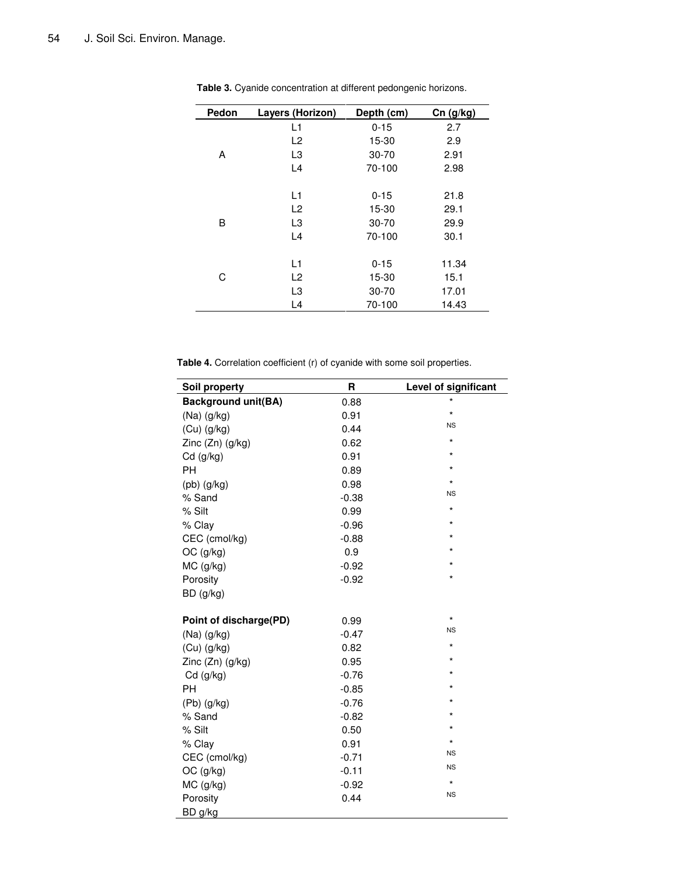| Pedon | Layers (Horizon) | Depth (cm) | $Cn$ (g/kg) |
|-------|------------------|------------|-------------|
|       | L1               | $0 - 15$   | 2.7         |
|       | L2               | 15-30      | 2.9         |
| А     | L3               | $30 - 70$  | 2.91        |
|       | L4               | 70-100     | 2.98        |
|       | L1               | $0 - 15$   | 21.8        |
|       | L2               | 15-30      | 29.1        |
| B     | L3               | $30 - 70$  | 29.9        |
|       | L4               | 70-100     | 30.1        |
|       | L1               | $0 - 15$   | 11.34       |
| C     | L <sub>2</sub>   | 15-30      | 15.1        |
|       | L3               | $30 - 70$  | 17.01       |
|       | L4               | 70-100     | 14.43       |

**Table 3.** Cyanide concentration at different pedongenic horizons.

**Table 4.** Correlation coefficient (r) of cyanide with some soil properties.

| Soil property              | R       | Level of significant |
|----------------------------|---------|----------------------|
| <b>Background unit(BA)</b> | 0.88    | $\star$              |
| $(Na)$ (g/kg)              | 0.91    | $\star$              |
| $(Cu)$ (g/kg)              | 0.44    | <b>NS</b>            |
| Zinc $(Zn)$ $(g/kg)$       | 0.62    | $\star$              |
| $Cd$ (g/kg)                | 0.91    | *                    |
| PH                         | 0.89    | $\star$              |
| $(pb)$ $(g/kg)$            | 0.98    | $\star$              |
| % Sand                     | $-0.38$ | <b>NS</b>            |
| % Silt                     | 0.99    | $\star$              |
| % Clay                     | $-0.96$ | $\star$              |
| CEC (cmol/kg)              | $-0.88$ | *                    |
| OC (g/kg)                  | 0.9     | $\star$              |
| MC (g/kg)                  | $-0.92$ | *                    |
| Porosity                   | $-0.92$ | $\star$              |
| BD (g/kg)                  |         |                      |
| Point of discharge(PD)     | 0.99    | $\star$              |
| $(Na)$ $(g/kg)$            | $-0.47$ | <b>NS</b>            |
| $(Cu)$ (g/kg)              | 0.82    | $\star$              |
| Zinc (Zn) (g/kg)           | 0.95    | $\star$              |
| Cd (g/kg)                  | $-0.76$ | *                    |
| PH                         | $-0.85$ | $\star$              |
| $(Pb)$ $(g/kg)$            | $-0.76$ | *                    |
| % Sand                     | $-0.82$ | $\star$              |
| % Silt                     | 0.50    | $\star$              |
| % Clay                     | 0.91    | $\star$              |
| CEC (cmol/kg)              | $-0.71$ | <b>NS</b>            |
| OC (g/kg)                  | $-0.11$ | <b>NS</b>            |
| MC (g/kg)                  | $-0.92$ | $\star$              |
| Porosity                   | 0.44    | <b>NS</b>            |
| BD g/kg                    |         |                      |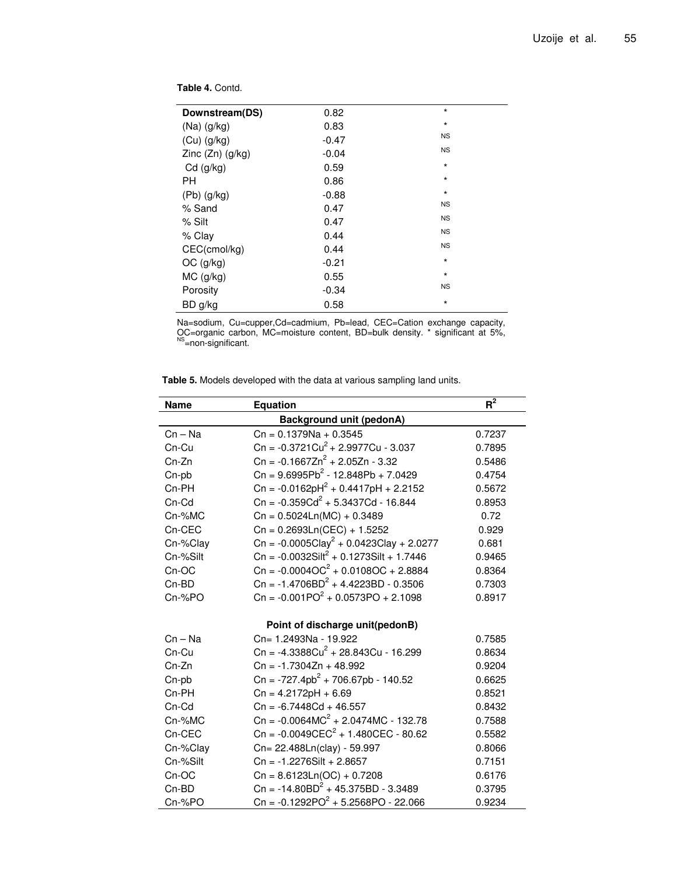**Table 4.** Contd.

| Downstream(DS)       | 0.82    | $\star$   |
|----------------------|---------|-----------|
| $(Na)$ $(q/kg)$      | 0.83    | $\star$   |
| $(Cu)$ (g/kg)        | $-0.47$ | <b>NS</b> |
| Zinc $(Zn)$ $(g/kg)$ | $-0.04$ | <b>NS</b> |
| $Cd$ (g/kg)          | 0.59    | $\star$   |
| PН                   | 0.86    | $\star$   |
| $(Pb)$ $(q/kg)$      | $-0.88$ | $\star$   |
| % Sand               | 0.47    | <b>NS</b> |
| % Silt               | 0.47    | <b>NS</b> |
| $%$ Clay             | 0.44    | <b>NS</b> |
| CEC(cmol/kg)         | 0.44    | <b>NS</b> |
| $OC$ (g/kg)          | $-0.21$ | $\star$   |
| $MC$ (g/kg)          | 0.55    | $\star$   |
| Porosity             | $-0.34$ | <b>NS</b> |
| BD g/kg              | 0.58    | $^\star$  |
|                      |         |           |

Na=sodium, Cu=cupper,Cd=cadmium, Pb=lead, CEC=Cation exchange capacity, OC=organic carbon, MC=moisture content, BD=bulk density. \* significant at 5%,<br><sup>NS</sup>=non-significant.

**Table 5.** Models developed with the data at various sampling land units.

| <b>Name</b> | <b>Equation</b>                                                   | $R^2$  |  |  |  |
|-------------|-------------------------------------------------------------------|--------|--|--|--|
|             | <b>Background unit (pedonA)</b>                                   |        |  |  |  |
| $Cn - Na$   | $Cn = 0.1379Na + 0.3545$                                          | 0.7237 |  |  |  |
| Cn-Cu       | $\text{Cn} = -0.3721 \text{Cu}^2 + 2.9977 \text{Cu} - 3.037$      | 0.7895 |  |  |  |
| Cn-Zn       | $\text{Cn} = -0.1667 \text{Zn}^2 + 2.05 \text{Zn} - 3.32$         | 0.5486 |  |  |  |
| Cn-pb       | $Cn = 9.6995Pb2 - 12.848Pb + 7.0429$                              | 0.4754 |  |  |  |
| Cn-PH       | Cn = $-0.0162pH^2 + 0.4417pH + 2.2152$                            | 0.5672 |  |  |  |
| $Cn$ - $Cd$ | $\text{Cn} = -0.359 \text{Cd}^2 + 5.3437 \text{Cd} - 16.844$      | 0.8953 |  |  |  |
| Cn-%MC      | $Cn = 0.5024Ln(MC) + 0.3489$                                      | 0.72   |  |  |  |
| Cn-CEC      | $Cn = 0.2693Ln(CEC) + 1.5252$                                     | 0.929  |  |  |  |
| Cn-%Clay    | Cn = $-0.0005 \text{Clay}^2 + 0.0423 \text{Clay} + 2.0277$        | 0.681  |  |  |  |
| Cn-%Silt    | $\text{Cn} = -0.0032 \text{Silt}^2 + 0.1273 \text{Silt} + 1.7446$ | 0.9465 |  |  |  |
| Cn-OC       | $\text{Cn} = -0.0004 \text{OC}^2 + 0.0108 \text{OC} + 2.8884$     | 0.8364 |  |  |  |
| Cn-BD       | $\text{Cn} = -1.4706 \text{BD}^2 + 4.4223 \text{BD} - 0.3506$     | 0.7303 |  |  |  |
| Cn-%PO      | $\text{Cn} = -0.001 \text{PO}^2 + 0.0573 \text{PO} + 2.1098$      | 0.8917 |  |  |  |
|             |                                                                   |        |  |  |  |
|             | Point of discharge unit(pedonB)                                   |        |  |  |  |
| $Cn - Na$   | Cn= 1.2493Na - 19.922                                             | 0.7585 |  |  |  |
| Cn-Cu       | $\text{Cn} = -4.3388 \text{Cu}^2 + 28.843 \text{Cu} - 16.299$     | 0.8634 |  |  |  |
| Cn-Zn       | $Cn = -1.7304Zn + 48.992$                                         | 0.9204 |  |  |  |
| Cn-pb       | $Cn = -727.4pb2 + 706.67pb - 140.52$                              | 0.6625 |  |  |  |
| Cn-PH       | $Cn = 4.2172pH + 6.69$                                            | 0.8521 |  |  |  |
| Cn-Cd       | $Cn = -6.7448Cd + 46.557$                                         | 0.8432 |  |  |  |
| Cn-%MC      | $\text{Cn} = -0.0064 \text{MC}^2 + 2.0474 \text{MC} - 132.78$     | 0.7588 |  |  |  |
| Cn-CEC      | $\text{Cn} = -0.0049 \text{CEC}^2 + 1.480 \text{CEC} - 80.62$     | 0.5582 |  |  |  |
| Cn-%Clay    | Cn= 22.488Ln(clay) - 59.997                                       | 0.8066 |  |  |  |
| Cn-%Silt    | $Cn = -1.2276$ Silt + 2.8657                                      | 0.7151 |  |  |  |
| Cn-OC       | $Cn = 8.6123Ln(OC) + 0.7208$                                      | 0.6176 |  |  |  |
| Cn-BD       | $\text{Cn} = -14.80 \text{BD}^2 + 45.375 \text{BD} - 3.3489$      | 0.3795 |  |  |  |
| Cn-%PO      | Cn = $-0.1292PO^2 + 5.2568PO - 22.066$                            | 0.9234 |  |  |  |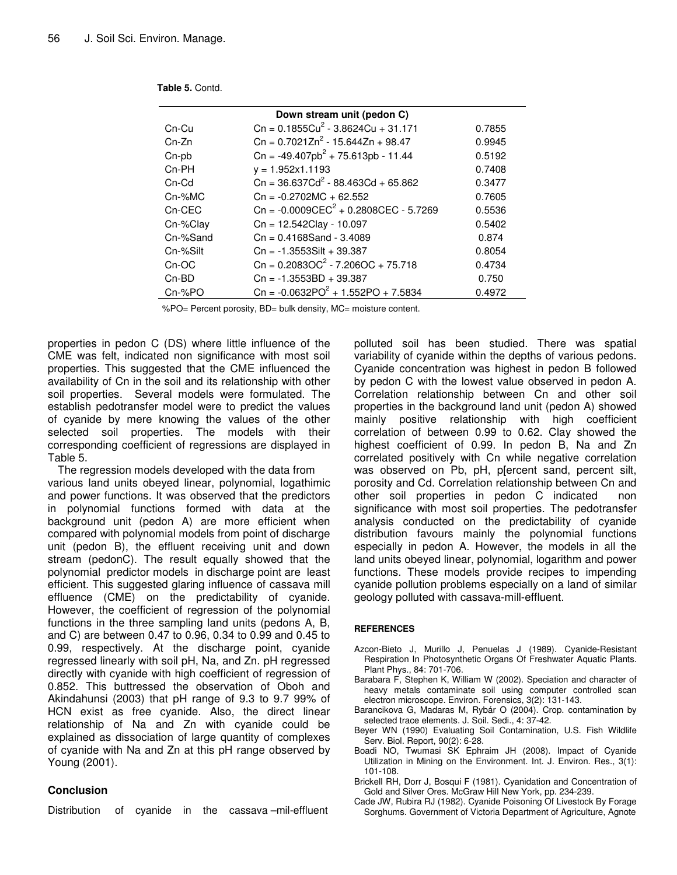| Down stream unit (pedon C) |                                                                 |        |  |  |  |
|----------------------------|-----------------------------------------------------------------|--------|--|--|--|
| $Cn-Cu$                    | $Cn = 0.1855Cu2 - 3.8624Cu + 31.171$                            | 0.7855 |  |  |  |
| $Cn-Zn$                    | $Cn = 0.7021Zn^2 - 15.644Zn + 98.47$                            | 0.9945 |  |  |  |
| Cn-pb                      | $Cn = -49.407pb^{2} + 75.613pb - 11.44$                         | 0.5192 |  |  |  |
| $Cn-PH$                    | $y = 1.952x1.1193$                                              | 0.7408 |  |  |  |
| $Cn$ - $Cd$                | $\text{Cn} = 36.637 \text{Cd}^2 - 88.463 \text{Cd} + 65.862$    | 0.3477 |  |  |  |
| $Cn-%MC$                   | $Cn = -0.2702MC + 62.552$                                       | 0.7605 |  |  |  |
| Cn-CEC                     | $\text{Cn} = -0.0009 \text{CEC}^2 + 0.2808 \text{CEC} - 5.7269$ | 0.5536 |  |  |  |
| Cn-%Clay                   | Cn = 12.542Clay - 10.097                                        | 0.5402 |  |  |  |
| Cn-%Sand                   | $Cn = 0.4168$ Sand - 3.4089                                     | 0.874  |  |  |  |
| Cn-%Silt                   | $Cn = -1.3553Silt + 39.387$                                     | 0.8054 |  |  |  |
| $Cn-OC$                    | $\text{Cn} = 0.2083 \text{OC}^2 - 7.206 \text{OC} + 75.718$     | 0.4734 |  |  |  |
| $Cn-BD$                    | $Cn = -1.3553BD + 39.387$                                       | 0.750  |  |  |  |
| $Cr-SPO$                   | $\text{Cn} = -0.0632 \text{PO}^2 + 1.552 \text{PO} + 7.5834$    | 0.4972 |  |  |  |

|  | Table 5. Contd. |
|--|-----------------|
|--|-----------------|

%PO= Percent porosity, BD= bulk density, MC= moisture content.

properties in pedon C (DS) where little influence of the CME was felt, indicated non significance with most soil properties. This suggested that the CME influenced the availability of Cn in the soil and its relationship with other soil properties. Several models were formulated. The establish pedotransfer model were to predict the values of cyanide by mere knowing the values of the other selected soil properties. The models with their corresponding coefficient of regressions are displayed in Table 5.

The regression models developed with the data from various land units obeyed linear, polynomial, logathimic and power functions. It was observed that the predictors in polynomial functions formed with data at the background unit (pedon A) are more efficient when compared with polynomial models from point of discharge unit (pedon B), the effluent receiving unit and down stream (pedonC). The result equally showed that the polynomial predictor models in discharge point are least efficient. This suggested glaring influence of cassava mill effluence (CME) on the predictability of cyanide. However, the coefficient of regression of the polynomial functions in the three sampling land units (pedons A, B, and C) are between 0.47 to 0.96, 0.34 to 0.99 and 0.45 to 0.99, respectively. At the discharge point, cyanide regressed linearly with soil pH, Na, and Zn. pH regressed directly with cyanide with high coefficient of regression of 0.852. This buttressed the observation of Oboh and Akindahunsi (2003) that pH range of 9.3 to 9.7 99% of HCN exist as free cyanide. Also, the direct linear relationship of Na and Zn with cyanide could be explained as dissociation of large quantity of complexes of cyanide with Na and Zn at this pH range observed by Young (2001).

## **Conclusion**

Distribution of cyanide in the cassava –mil-effluent

polluted soil has been studied. There was spatial variability of cyanide within the depths of various pedons. Cyanide concentration was highest in pedon B followed by pedon C with the lowest value observed in pedon A. Correlation relationship between Cn and other soil properties in the background land unit (pedon A) showed mainly positive relationship with high coefficient correlation of between 0.99 to 0.62. Clay showed the highest coefficient of 0.99. In pedon B, Na and Zn correlated positively with Cn while negative correlation was observed on Pb, pH, p[ercent sand, percent silt, porosity and Cd. Correlation relationship between Cn and other soil properties in pedon C indicated non significance with most soil properties. The pedotransfer analysis conducted on the predictability of cyanide distribution favours mainly the polynomial functions especially in pedon A. However, the models in all the land units obeyed linear, polynomial, logarithm and power functions. These models provide recipes to impending cyanide pollution problems especially on a land of similar geology polluted with cassava-mill-effluent.

## **REFERENCES**

- Azcon-Bieto J, Murillo J, Penuelas J (1989). Cyanide-Resistant Respiration In Photosynthetic Organs Of Freshwater Aquatic Plants. Plant Phys., 84: 701-706.
- Barabara F, Stephen K, William W (2002). Speciation and character of heavy metals contaminate soil using computer controlled scan electron microscope. Environ. Forensics, 3(2): 131-143.
- Barancikova G, Madaras M, Rybár O (2004). Crop. contamination by selected trace elements. J. Soil. Sedi., 4: 37-42.
- Beyer WN (1990) Evaluating Soil Contamination, U.S. Fish Wildlife Serv. Biol. Report, 90(2): 6-28.
- Boadi NO, Twumasi SK Ephraim JH (2008). Impact of Cyanide Utilization in Mining on the Environment. Int. J. Environ. Res., 3(1): 101-108.
- Brickell RH, Dorr J, Bosqui F (1981). Cyanidation and Concentration of Gold and Silver Ores. McGraw Hill New York, pp. 234-239.
- Cade JW, Rubira RJ (1982). Cyanide Poisoning Of Livestock By Forage Sorghums. Government of Victoria Department of Agriculture, Agnote